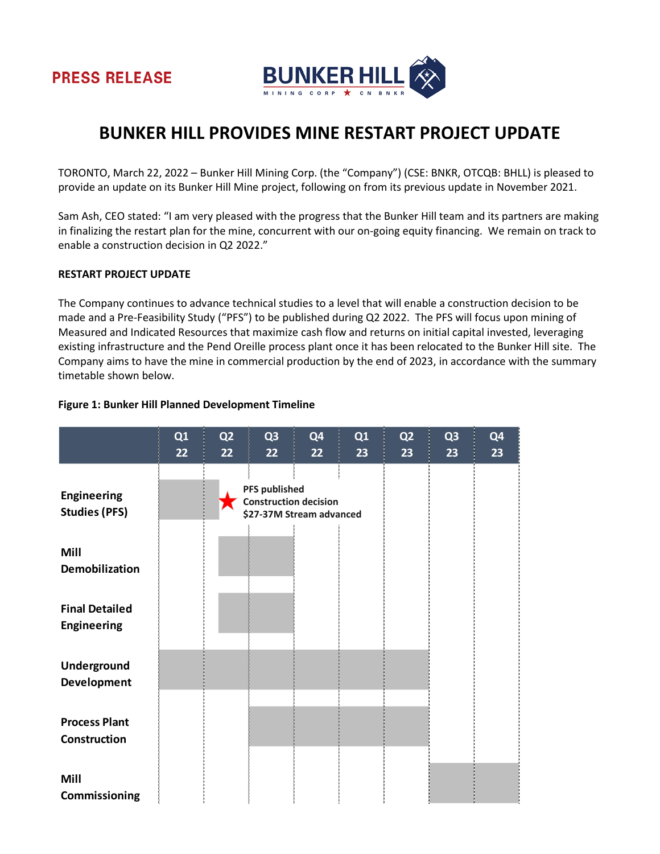

# **BUNKER HILL PROVIDES MINE RESTART PROJECT UPDATE**

TORONTO, March 22, 2022 – Bunker Hill Mining Corp. (the "Company") (CSE: BNKR, OTCQB: BHLL) is pleased to provide an update on its Bunker Hill Mine project, following on from its previous update in November 2021.

Sam Ash, CEO stated: "I am very pleased with the progress that the Bunker Hill team and its partners are making in finalizing the restart plan for the mine, concurrent with our on-going equity financing. We remain on track to enable a construction decision in Q2 2022."

### **RESTART PROJECT UPDATE**

The Company continues to advance technical studies to a level that will enable a construction decision to be made and a Pre-Feasibility Study ("PFS") to be published during Q2 2022. The PFS will focus upon mining of Measured and Indicated Resources that maximize cash flow and returns on initial capital invested, leveraging existing infrastructure and the Pend Oreille process plant once it has been relocated to the Bunker Hill site. The Company aims to have the mine in commercial production by the end of 2023, in accordance with the summary timetable shown below.

### **Figure 1: Bunker Hill Planned Development Timeline**

|                                             | Q1<br>22 | Q2<br>22 | Q3<br>22                                                                         | Q <sub>4</sub><br>22 | Q1<br>23 | Q2<br>23 | Q <sub>3</sub><br>23 | Q <sub>4</sub><br>23 |
|---------------------------------------------|----------|----------|----------------------------------------------------------------------------------|----------------------|----------|----------|----------------------|----------------------|
| <b>Engineering</b><br><b>Studies (PFS)</b>  |          |          | <b>PFS published</b><br><b>Construction decision</b><br>\$27-37M Stream advanced |                      |          |          |                      |                      |
| Mill<br><b>Demobilization</b>               |          |          |                                                                                  |                      |          |          |                      |                      |
| <b>Final Detailed</b><br><b>Engineering</b> |          |          |                                                                                  |                      |          |          |                      |                      |
| Underground<br>Development                  |          |          |                                                                                  |                      |          |          |                      |                      |
| <b>Process Plant</b><br><b>Construction</b> |          |          |                                                                                  |                      |          |          |                      |                      |
| Mill<br>Commissioning                       |          |          |                                                                                  |                      |          |          |                      |                      |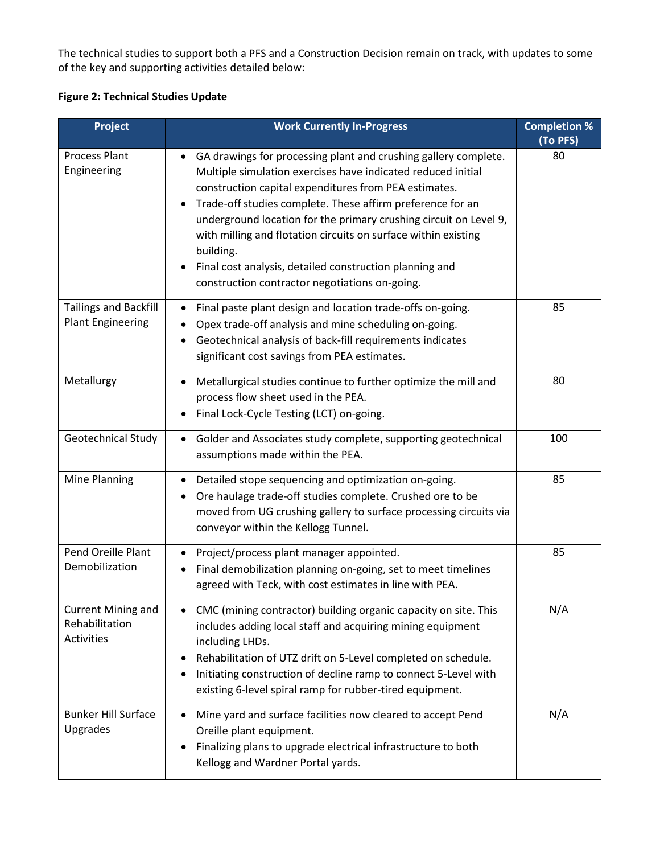The technical studies to support both a PFS and a Construction Decision remain on track, with updates to some of the key and supporting activities detailed below:

# **Figure 2: Technical Studies Update**

| Project                                                   | <b>Work Currently In-Progress</b>                                                                                                                                                                                                                                                                                                                                                                                                                                                                                                    | <b>Completion %</b><br>(To PFS) |
|-----------------------------------------------------------|--------------------------------------------------------------------------------------------------------------------------------------------------------------------------------------------------------------------------------------------------------------------------------------------------------------------------------------------------------------------------------------------------------------------------------------------------------------------------------------------------------------------------------------|---------------------------------|
| <b>Process Plant</b><br>Engineering                       | GA drawings for processing plant and crushing gallery complete.<br>$\bullet$<br>Multiple simulation exercises have indicated reduced initial<br>construction capital expenditures from PEA estimates.<br>Trade-off studies complete. These affirm preference for an<br>underground location for the primary crushing circuit on Level 9,<br>with milling and flotation circuits on surface within existing<br>building.<br>Final cost analysis, detailed construction planning and<br>construction contractor negotiations on-going. | 80                              |
| <b>Tailings and Backfill</b><br><b>Plant Engineering</b>  | Final paste plant design and location trade-offs on-going.<br>Opex trade-off analysis and mine scheduling on-going.<br>• Geotechnical analysis of back-fill requirements indicates<br>significant cost savings from PEA estimates.                                                                                                                                                                                                                                                                                                   | 85                              |
| Metallurgy                                                | Metallurgical studies continue to further optimize the mill and<br>process flow sheet used in the PEA.<br>Final Lock-Cycle Testing (LCT) on-going.                                                                                                                                                                                                                                                                                                                                                                                   | 80                              |
| Geotechnical Study                                        | Golder and Associates study complete, supporting geotechnical<br>$\bullet$<br>assumptions made within the PEA.                                                                                                                                                                                                                                                                                                                                                                                                                       | 100                             |
| Mine Planning                                             | Detailed stope sequencing and optimization on-going.<br>٠<br>Ore haulage trade-off studies complete. Crushed ore to be<br>moved from UG crushing gallery to surface processing circuits via<br>conveyor within the Kellogg Tunnel.                                                                                                                                                                                                                                                                                                   | 85                              |
| Pend Oreille Plant<br>Demobilization                      | • Project/process plant manager appointed.<br>Final demobilization planning on-going, set to meet timelines<br>agreed with Teck, with cost estimates in line with PEA.                                                                                                                                                                                                                                                                                                                                                               | 85                              |
| <b>Current Mining and</b><br>Rehabilitation<br>Activities | CMC (mining contractor) building organic capacity on site. This<br>$\bullet$<br>includes adding local staff and acquiring mining equipment<br>including LHDs.<br>Rehabilitation of UTZ drift on 5-Level completed on schedule.<br>Initiating construction of decline ramp to connect 5-Level with<br>existing 6-level spiral ramp for rubber-tired equipment.                                                                                                                                                                        | N/A                             |
| <b>Bunker Hill Surface</b><br>Upgrades                    | Mine yard and surface facilities now cleared to accept Pend<br>Oreille plant equipment.<br>Finalizing plans to upgrade electrical infrastructure to both<br>Kellogg and Wardner Portal yards.                                                                                                                                                                                                                                                                                                                                        | N/A                             |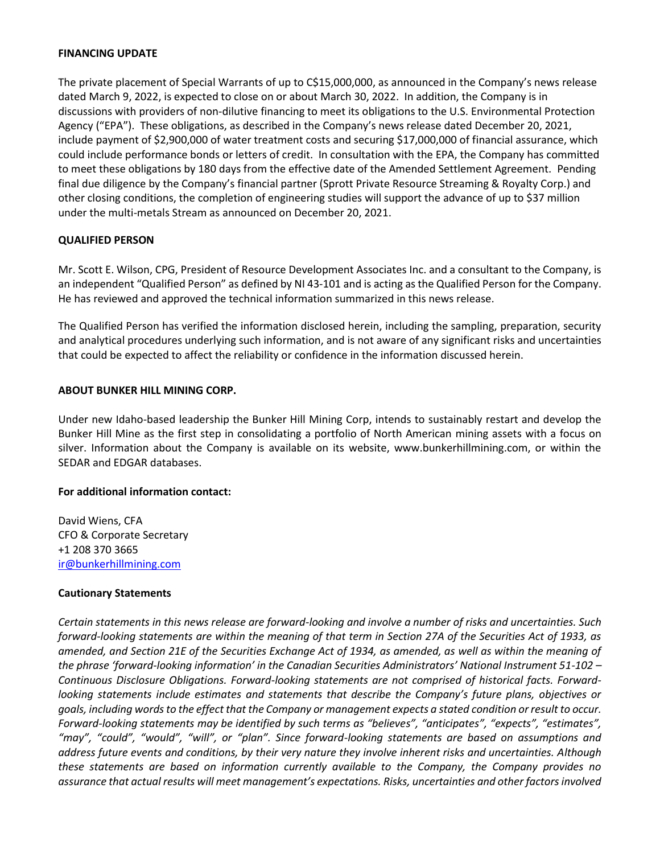#### **FINANCING UPDATE**

The private placement of Special Warrants of up to C\$15,000,000, as announced in the Company's news release dated March 9, 2022, is expected to close on or about March 30, 2022. In addition, the Company is in discussions with providers of non-dilutive financing to meet its obligations to the U.S. Environmental Protection Agency ("EPA"). These obligations, as described in the Company's news release dated December 20, 2021, include payment of \$2,900,000 of water treatment costs and securing \$17,000,000 of financial assurance, which could include performance bonds or letters of credit. In consultation with the EPA, the Company has committed to meet these obligations by 180 days from the effective date of the Amended Settlement Agreement. Pending final due diligence by the Company's financial partner (Sprott Private Resource Streaming & Royalty Corp.) and other closing conditions, the completion of engineering studies will support the advance of up to \$37 million under the multi-metals Stream as announced on December 20, 2021.

## **QUALIFIED PERSON**

Mr. Scott E. Wilson, CPG, President of Resource Development Associates Inc. and a consultant to the Company, is an independent "Qualified Person" as defined by NI 43-101 and is acting as the Qualified Person for the Company. He has reviewed and approved the technical information summarized in this news release.

The Qualified Person has verified the information disclosed herein, including the sampling, preparation, security and analytical procedures underlying such information, and is not aware of any significant risks and uncertainties that could be expected to affect the reliability or confidence in the information discussed herein.

### **ABOUT BUNKER HILL MINING CORP.**

Under new Idaho-based leadership the Bunker Hill Mining Corp, intends to sustainably restart and develop the Bunker Hill Mine as the first step in consolidating a portfolio of North American mining assets with a focus on silver. Information about the Company is available on its website, www.bunkerhillmining.com, or within the SEDAR and EDGAR databases.

#### **For additional information contact:**

David Wiens, CFA CFO & Corporate Secretary +1 208 370 3665 [ir@bunkerhillmining.com](mailto:ir@bunkerhillmining.com)

#### **Cautionary Statements**

*Certain statements in this news release are forward-looking and involve a number of risks and uncertainties. Such forward-looking statements are within the meaning of that term in Section 27A of the Securities Act of 1933, as amended, and Section 21E of the Securities Exchange Act of 1934, as amended, as well as within the meaning of the phrase 'forward-looking information' in the Canadian Securities Administrators' National Instrument 51-102 – Continuous Disclosure Obligations. Forward-looking statements are not comprised of historical facts. Forwardlooking statements include estimates and statements that describe the Company's future plans, objectives or goals, including words to the effect that the Company or management expects a stated condition or result to occur. Forward-looking statements may be identified by such terms as "believes", "anticipates", "expects", "estimates", "may", "could", "would", "will", or "plan". Since forward-looking statements are based on assumptions and address future events and conditions, by their very nature they involve inherent risks and uncertainties. Although these statements are based on information currently available to the Company, the Company provides no assurance that actual results will meet management's expectations. Risks, uncertainties and other factors involved*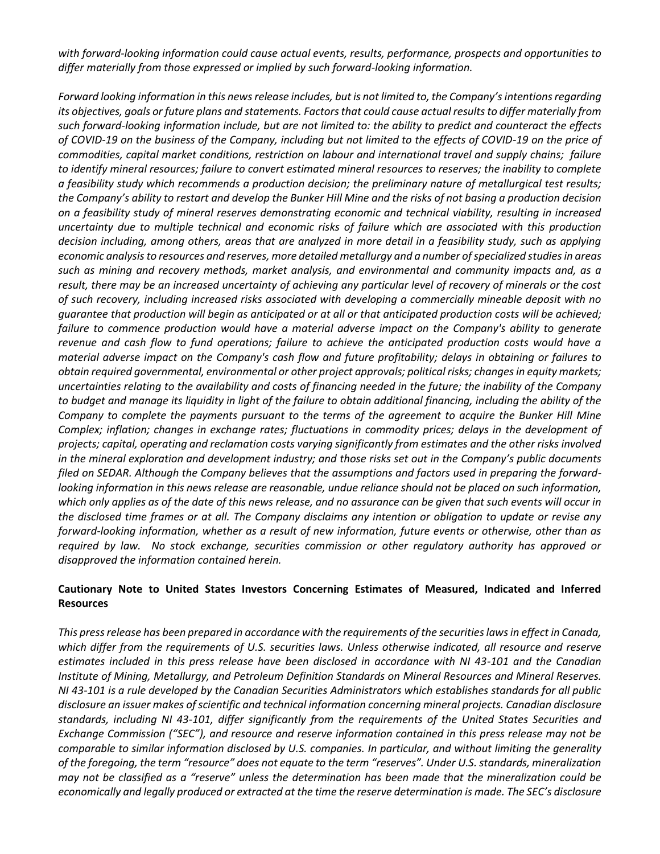*with forward-looking information could cause actual events, results, performance, prospects and opportunities to differ materially from those expressed or implied by such forward-looking information.* 

*Forward looking information in this news release includes, but is not limited to, the Company's intentions regarding its objectives, goals or future plans and statements. Factors that could cause actual results to differ materially from such forward-looking information include, but are not limited to: the ability to predict and counteract the effects of COVID-19 on the business of the Company, including but not limited to the effects of COVID-19 on the price of commodities, capital market conditions, restriction on labour and international travel and supply chains; failure to identify mineral resources; failure to convert estimated mineral resources to reserves; the inability to complete a feasibility study which recommends a production decision; the preliminary nature of metallurgical test results; the Company's ability to restart and develop the Bunker Hill Mine and the risks of not basing a production decision on a feasibility study of mineral reserves demonstrating economic and technical viability, resulting in increased uncertainty due to multiple technical and economic risks of failure which are associated with this production decision including, among others, areas that are analyzed in more detail in a feasibility study, such as applying economic analysis to resources and reserves, more detailed metallurgy and a number of specialized studies in areas such as mining and recovery methods, market analysis, and environmental and community impacts and, as a result, there may be an increased uncertainty of achieving any particular level of recovery of minerals or the cost of such recovery, including increased risks associated with developing a commercially mineable deposit with no guarantee that production will begin as anticipated or at all or that anticipated production costs will be achieved; failure to commence production would have a material adverse impact on the Company's ability to generate revenue and cash flow to fund operations; failure to achieve the anticipated production costs would have a material adverse impact on the Company's cash flow and future profitability; delays in obtaining or failures to obtain required governmental, environmental or other project approvals; political risks; changes in equity markets; uncertainties relating to the availability and costs of financing needed in the future; the inability of the Company to budget and manage its liquidity in light of the failure to obtain additional financing, including the ability of the Company to complete the payments pursuant to the terms of the agreement to acquire the Bunker Hill Mine Complex; inflation; changes in exchange rates; fluctuations in commodity prices; delays in the development of projects; capital, operating and reclamation costs varying significantly from estimates and the other risks involved in the mineral exploration and development industry; and those risks set out in the Company's public documents filed on SEDAR. Although the Company believes that the assumptions and factors used in preparing the forwardlooking information in this news release are reasonable, undue reliance should not be placed on such information, which only applies as of the date of this news release, and no assurance can be given that such events will occur in the disclosed time frames or at all. The Company disclaims any intention or obligation to update or revise any forward-looking information, whether as a result of new information, future events or otherwise, other than as required by law. No stock exchange, securities commission or other regulatory authority has approved or disapproved the information contained herein.*

# **Cautionary Note to United States Investors Concerning Estimates of Measured, Indicated and Inferred Resources**

*This press release has been prepared in accordance with the requirements of the securities laws in effect in Canada, which differ from the requirements of U.S. securities laws. Unless otherwise indicated, all resource and reserve estimates included in this press release have been disclosed in accordance with NI 43-101 and the Canadian Institute of Mining, Metallurgy, and Petroleum Definition Standards on Mineral Resources and Mineral Reserves. NI 43-101 is a rule developed by the Canadian Securities Administrators which establishes standards for all public disclosure an issuer makes of scientific and technical information concerning mineral projects. Canadian disclosure standards, including NI 43-101, differ significantly from the requirements of the United States Securities and Exchange Commission ("SEC"), and resource and reserve information contained in this press release may not be comparable to similar information disclosed by U.S. companies. In particular, and without limiting the generality of the foregoing, the term "resource" does not equate to the term "reserves". Under U.S. standards, mineralization may not be classified as a "reserve" unless the determination has been made that the mineralization could be economically and legally produced or extracted at the time the reserve determination is made. The SEC's disclosure*